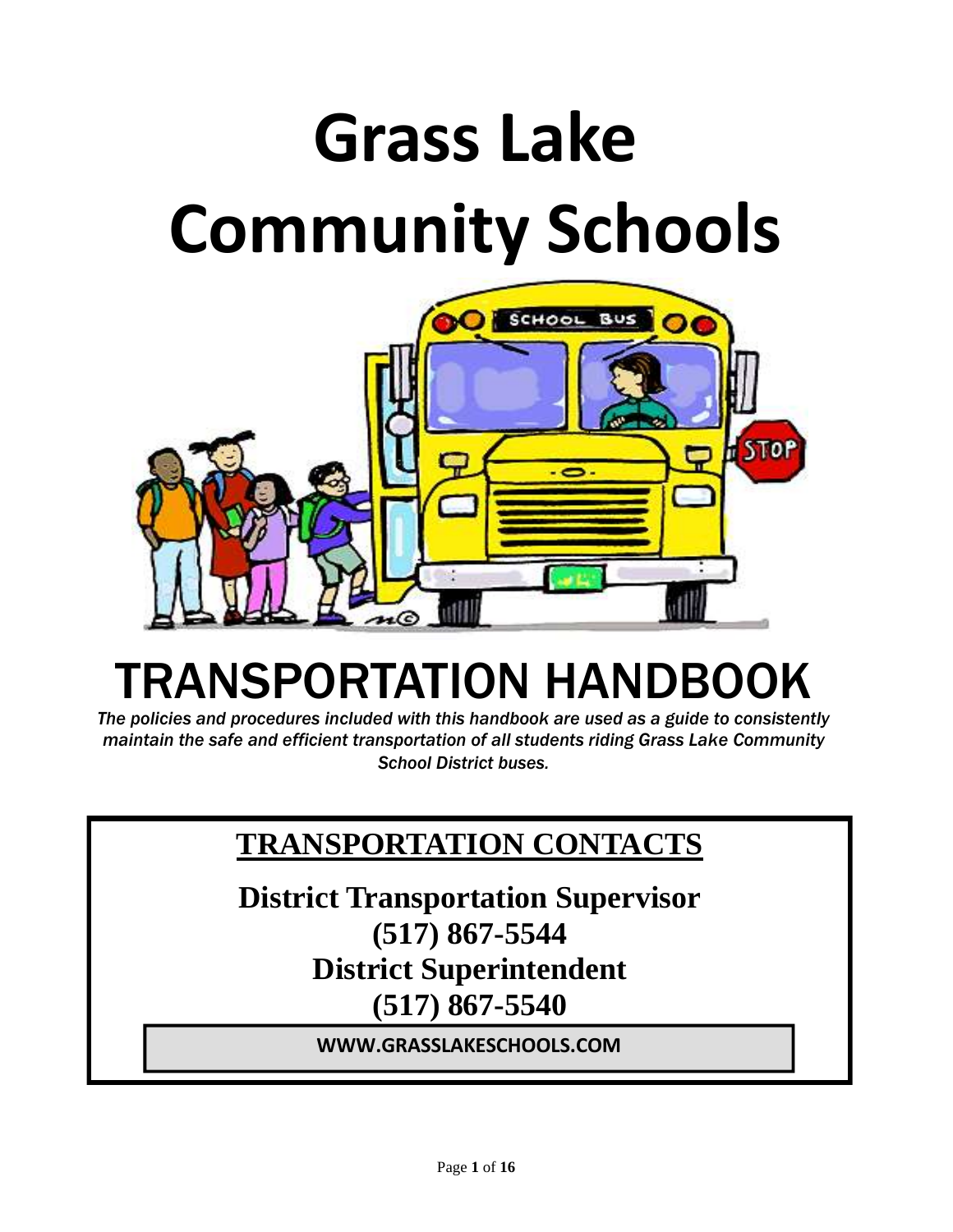# **Grass Lake Community Schools**



# TRANSPORTATION HANDBOOK

*The policies and procedures included with this handbook are used as a guide to consistently maintain the safe and efficient transportation of all students riding Grass Lake Community School District buses.*

### **TRANSPORTATION CONTACTS**

**District Transportation Supervisor (517) 867-5544 District Superintendent (517) 867-5540**

**WWW.GRASSLAKESCHOOLS.COM**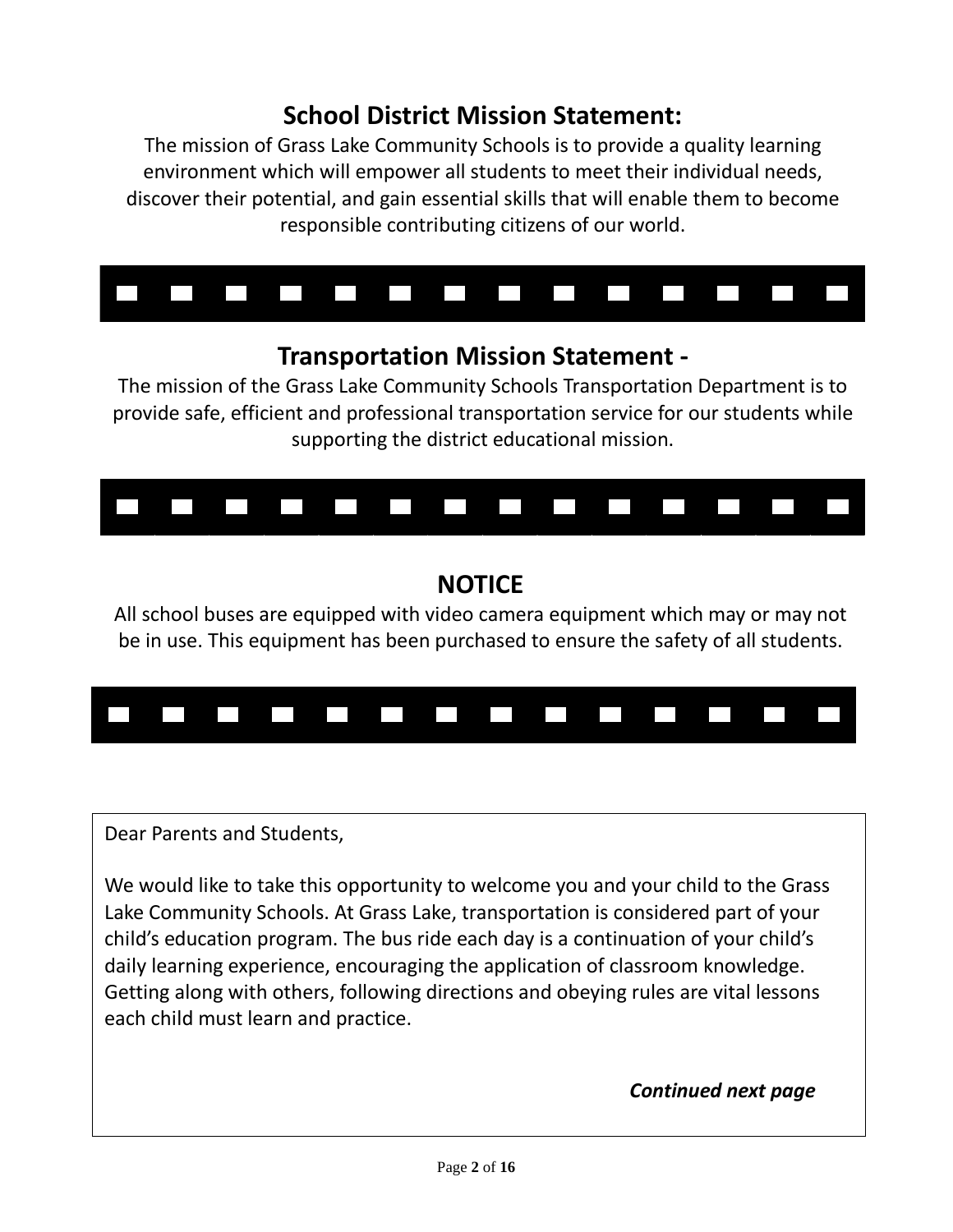#### **School District Mission Statement:**

The mission of Grass Lake Community Schools is to provide a quality learning environment which will empower all students to meet their individual needs, discover their potential, and gain essential skills that will enable them to become responsible contributing citizens of our world.



#### **Transportation Mission Statement -**

The mission of the Grass Lake Community Schools Transportation Department is to provide safe, efficient and professional transportation service for our students while supporting the district educational mission.



#### **NOTICE**

All school buses are equipped with video camera equipment which may or may not be in use. This equipment has been purchased to ensure the safety of all students.



Dear Parents and Students,

We would like to take this opportunity to welcome you and your child to the Grass Lake Community Schools. At Grass Lake, transportation is considered part of your child's education program. The bus ride each day is a continuation of your child's daily learning experience, encouraging the application of classroom knowledge. Getting along with others, following directions and obeying rules are vital lessons each child must learn and practice.

#### *Continued next page*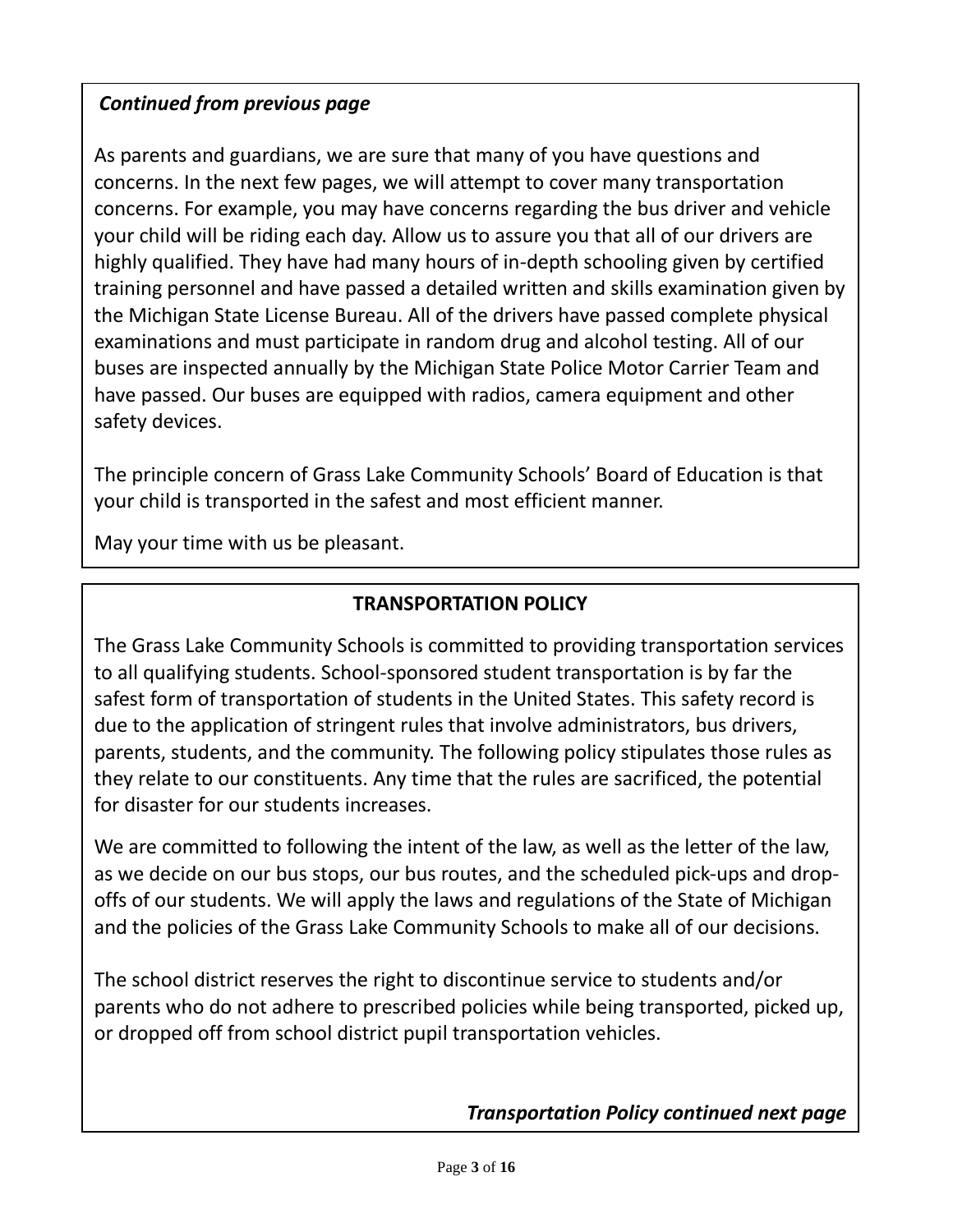#### *Continued from previous page*

As parents and guardians, we are sure that many of you have questions and concerns. For example, you may have concerns regarding the bus driver and vehicle your child will be riding each day. Allow us to assure you that all of our drivers are highly qualified. They have had many hours of in-depth schooling given by certified training personnel and have passed a detailed written and skills examination given by the Michigan State License Bureau. All of the drivers have passed complete physical examinations and must participate in random drug and alcohol testing. All of our buses are inspected annually by the Michigan State Police Motor Carrier Team and have passed. Our buses are equipped with radios, camera equipment and other  $\epsilon$ law, as we decide on our bus stops, our bus stops, our bus stops, and the scheduled pick-ups, and the schedule concerns. In the next few pages, we will attempt to cover many transportation safety devices.

and drop-offs of our students. We will apply the laws and regulations of the State  $\frac{1}{2}$ The principle concern of Grass Lake Community Schools' Board of Education is that<br>
The principle concern of Grass Lake Community Schools' Board of Education is that your child is transported in the safest and most efficient manner.

May your time with us be pleasant.

#### **TRANSPORTATION POLICY**

The Grass Lake Community Schools is committed to providing transportation services to all qualifying students. School-sponsored student transportation is by far the safest form of transportation of students in the United States. This safety record is due to the application of stringent rules that involve administrators, bus drivers, parents, students, and the community. The following policy stipulates those rules as they relate to our constituents. Any time that the rules are sacrificed, the potential for disaster for our students increases.

We are committed to following the intent of the law, as well as the letter of the law, as we decide on our bus stops, our bus routes, and the scheduled pick-ups and dropoffs of our students. We will apply the laws and regulations of the State of Michigan and the policies of the Grass Lake Community Schools to make all of our decisions.

The school district reserves the right to discontinue service to students and/or parents who do not adhere to prescribed policies while being transported, picked up, or dropped off from school district pupil transportation vehicles.

*Transportation Policy continued next page*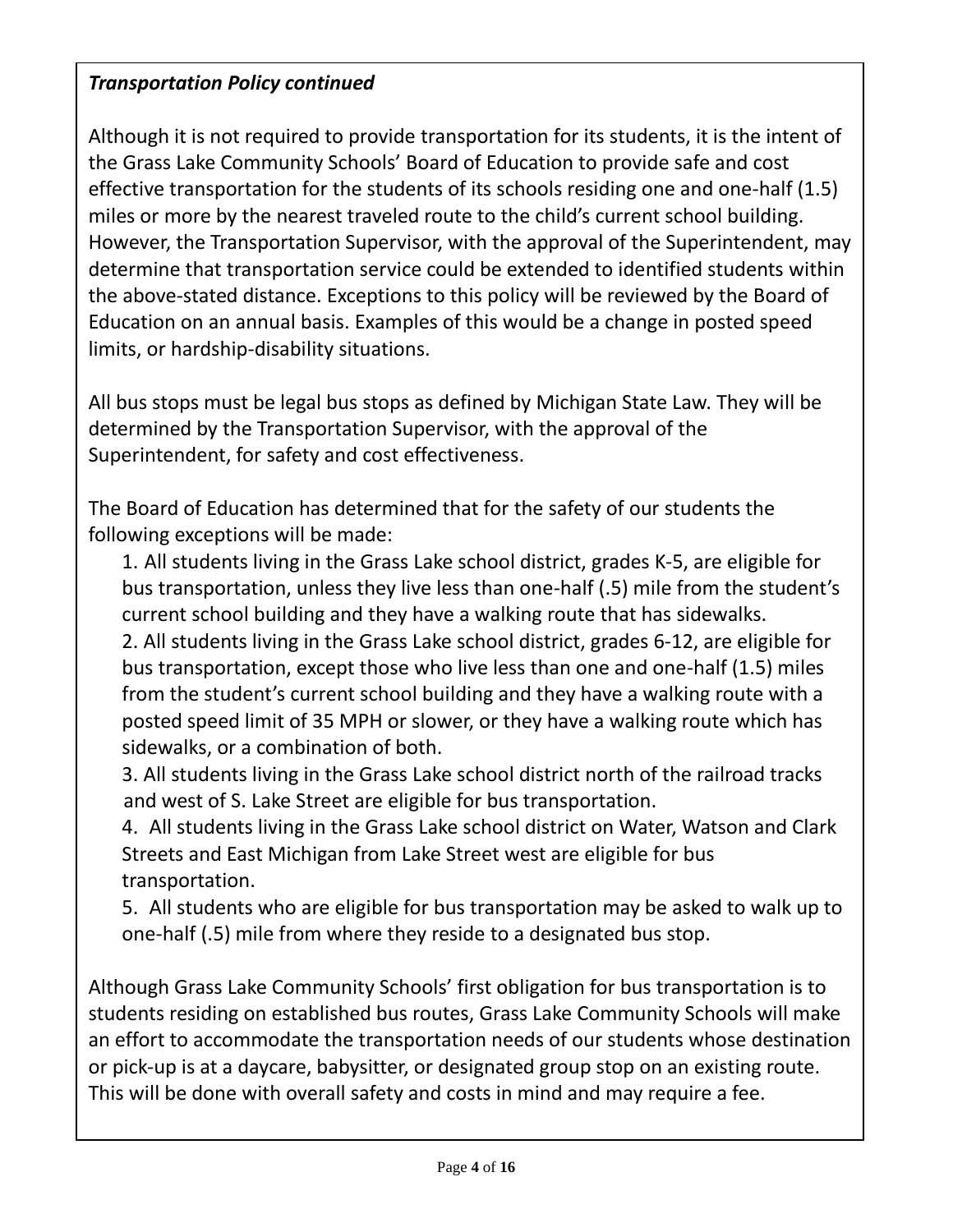#### *Transportation Policy continued*

Although it is not required to provide transportation for its students, it is the intent of the Grass Lake Community Schools' Board of Education to provide safe and cost effective transportation for the students of its schools residing one and one-half (1.5) miles or more by the nearest traveled route to the child's current school building. However, the Transportation Supervisor, with the approval of the Superintendent, may determine that transportation service could be extended to identified students within the above-stated distance. Exceptions to this policy will be reviewed by the Board of Education on an annual basis. Examples of this would be a change in posted speed limits, or hardship-disability situations.

All bus stops must be legal bus stops as defined by Michigan State Law. They will be determined by the Transportation Supervisor, with the approval of the Superintendent, for safety and cost effectiveness.

The Board of Education has determined that for the safety of our students the following exceptions will be made:

1. All students living in the Grass Lake school district, grades K-5, are eligible for bus transportation, unless they live less than one-half (.5) mile from the student's current school building and they have a walking route that has sidewalks.

2. All students living in the Grass Lake school district, grades 6-12, are eligible for bus transportation, except those who live less than one and one-half (1.5) miles from the student's current school building and they have a walking route with a posted speed limit of 35 MPH or slower, or they have a walking route which has sidewalks, or a combination of both.

3. All students living in the Grass Lake school district north of the railroad tracks and west of S. Lake Street are eligible for bus transportation.

4. All students living in the Grass Lake school district on Water, Watson and Clark Streets and East Michigan from Lake Street west are eligible for bus transportation.

5. All students who are eligible for bus transportation may be asked to walk up to one-half (.5) mile from where they reside to a designated bus stop.

Although Grass Lake Community Schools' first obligation for bus transportation is to students residing on established bus routes, Grass Lake Community Schools will make an effort to accommodate the transportation needs of our students whose destination or pick-up is at a daycare, babysitter, or designated group stop on an existing route. This will be done with overall safety and costs in mind and may require a fee.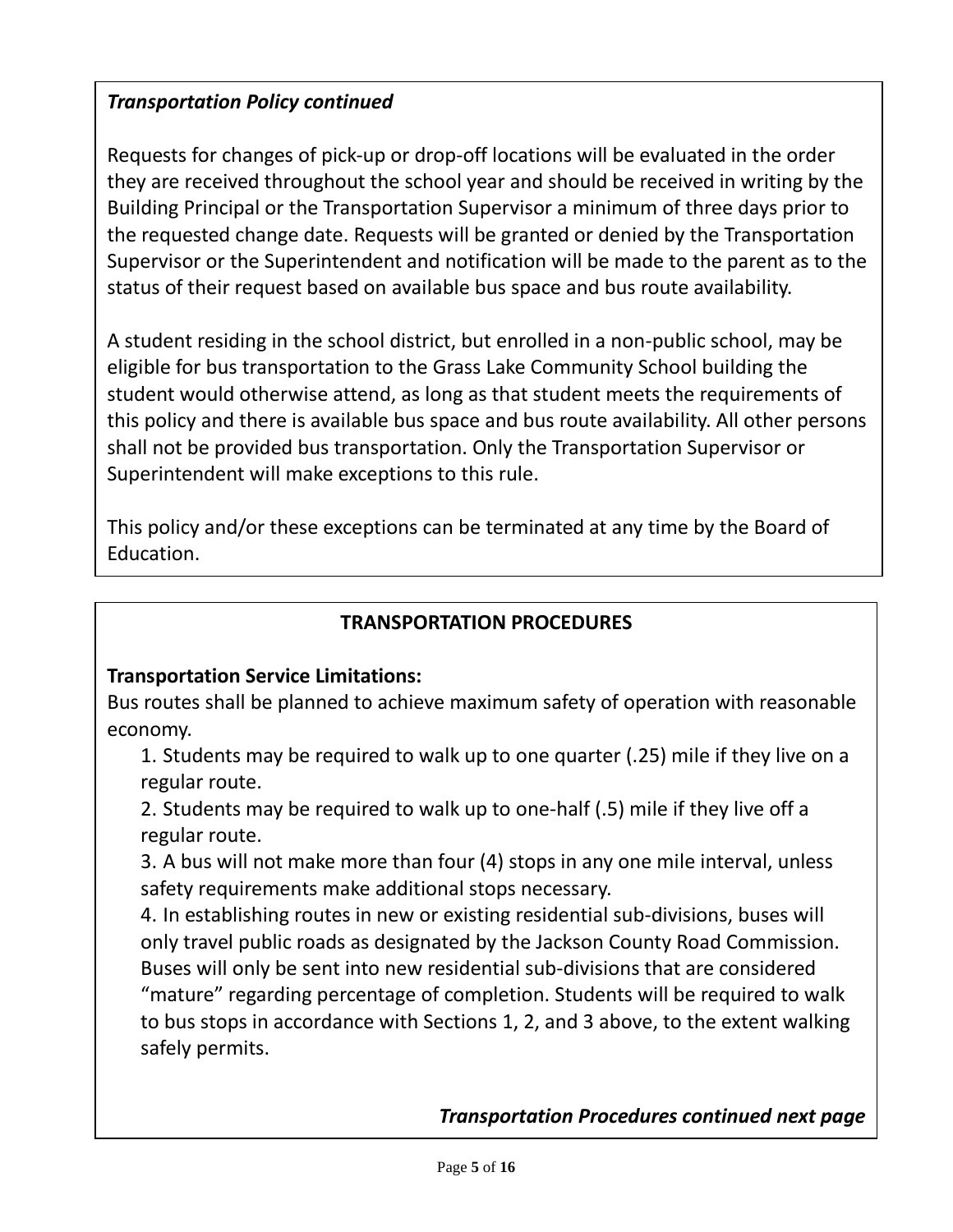#### *Transportation Policy continued*

Requests for changes of pick-up or drop-off locations will be evaluated in the order they are received throughout the school year and should be received in writing by the Building Principal or the Transportation Supervisor a minimum of three days prior to the requested change date. Requests will be granted or denied by the Transportation Supervisor or the Superintendent and notification will be made to the parent as to the status of their request based on available bus space and bus route availability.

A student residing in the school district, but enrolled in a non-public school, may be eligible for bus transportation to the Grass Lake Community School building the student would otherwise attend, as long as that student meets the requirements of this policy and there is available bus space and bus route availability. All other persons shall not be provided bus transportation. Only the Transportation Supervisor or Superintendent will make exceptions to this rule.

This policy and/or these exceptions can be terminated at any time by the Board of Education.

#### **TRANSPORTATION PROCEDURES**

#### **Transportation Service Limitations:**

Bus routes shall be planned to achieve maximum safety of operation with reasonable economy.

1. Students may be required to walk up to one quarter (.25) mile if they live on a regular route.

2. Students may be required to walk up to one-half (.5) mile if they live off a regular route.

3. A bus will not make more than four (4) stops in any one mile interval, unless safety requirements make additional stops necessary.

4. In establishing routes in new or existing residential sub-divisions, buses will only travel public roads as designated by the Jackson County Road Commission. Buses will only be sent into new residential sub-divisions that are considered "mature" regarding percentage of completion. Students will be required to walk to bus stops in accordance with Sections 1, 2, and 3 above, to the extent walking safely permits.

*Transportation Procedures continued next page*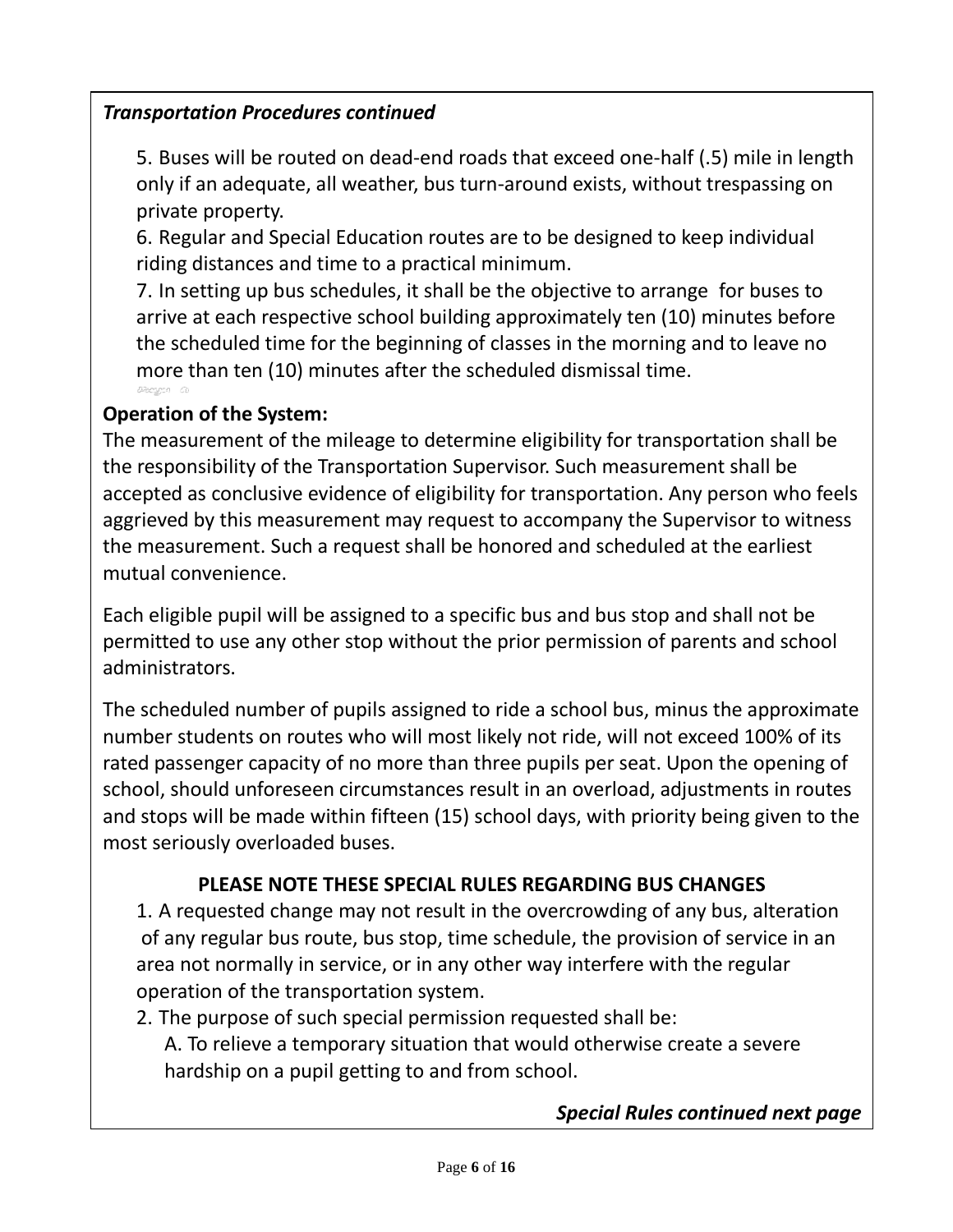#### *Transportation Procedures continued*

5. Buses will be routed on dead-end roads that exceed one-half (.5) mile in length only if an adequate, all weather, bus turn-around exists, without trespassing on private property.

6. Regular and Special Education routes are to be designed to keep individual riding distances and time to a practical minimum.

7. In setting up bus schedules, it shall be the objective to arrange for buses to arrive at each respective school building approximately ten (10) minutes before the scheduled time for the beginning of classes in the morning and to leave no more than ten (10) minutes after the scheduled dismissal time.

#### **Operation of the System:**

The measurement of the mileage to determine eligibility for transportation shall be the responsibility of the Transportation Supervisor. Such measurement shall be accepted as conclusive evidence of eligibility for transportation. Any person who feels aggrieved by this measurement may request to accompany the Supervisor to witness the measurement. Such a request shall be honored and scheduled at the earliest mutual convenience.

Each eligible pupil will be assigned to a specific bus and bus stop and shall not be permitted to use any other stop without the prior permission of parents and school administrators.

The scheduled number of pupils assigned to ride a school bus, minus the approximate number students on routes who will most likely not ride, will not exceed 100% of its rated passenger capacity of no more than three pupils per seat. Upon the opening of school, should unforeseen circumstances result in an overload, adjustments in routes and stops will be made within fifteen (15) school days, with priority being given to the most seriously overloaded buses.

#### **PLEASE NOTE THESE SPECIAL RULES REGARDING BUS CHANGES**

1. A requested change may not result in the overcrowding of any bus, alteration of any regular bus route, bus stop, time schedule, the provision of service in an area not normally in service, or in any other way interfere with the regular operation of the transportation system.

- 2. The purpose of such special permission requested shall be:
	- A. To relieve a temporary situation that would otherwise create a severe hardship on a pupil getting to and from school.

#### *Special Rules continued next page*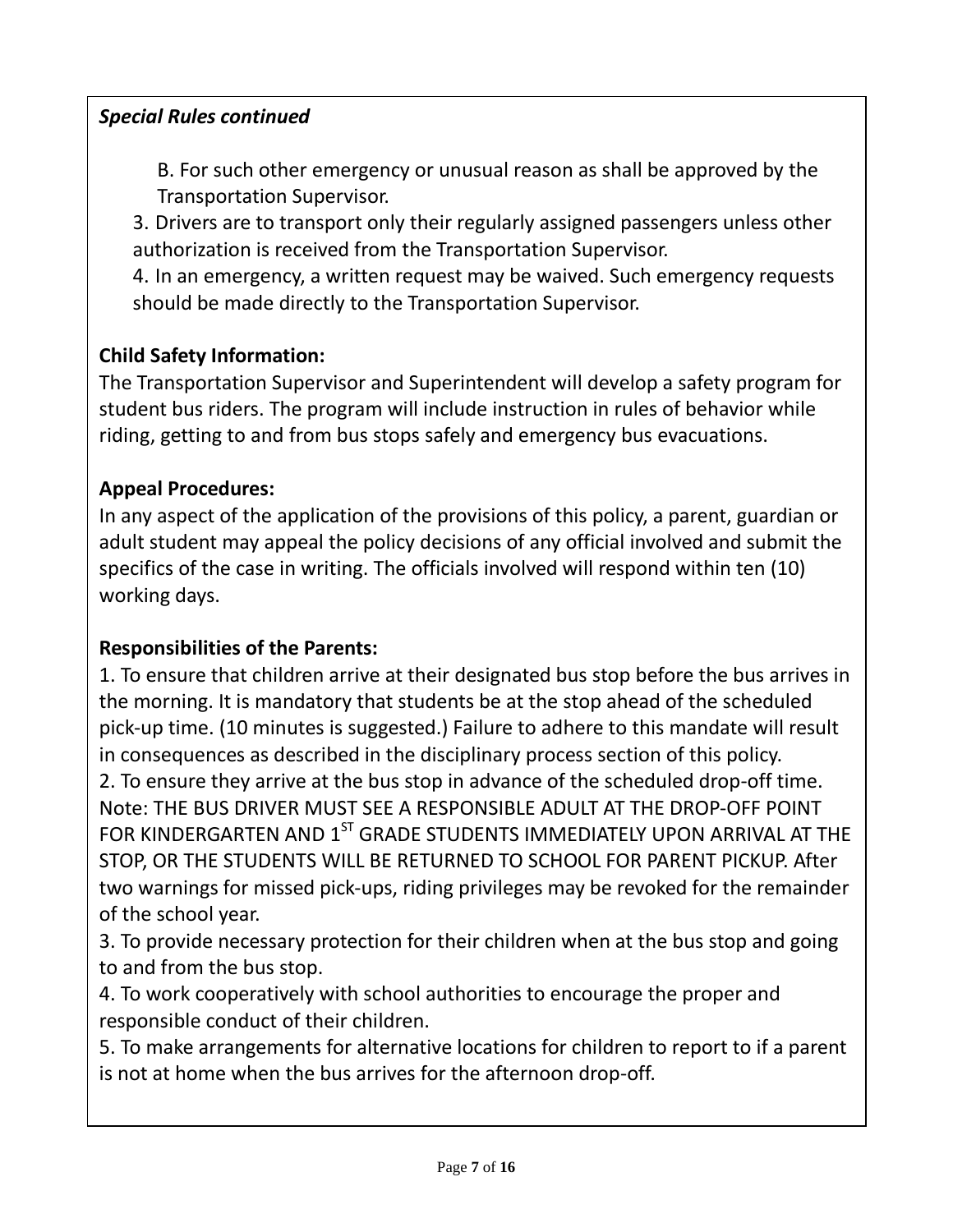#### *Special Rules continued*

 B. For such other emergency or unusual reason as shall be approved by the Transportation Supervisor.

3. Drivers are to transport only their regularly assigned passengers unless other authorization is received from the Transportation Supervisor.

4. In an emergency, a written request may be waived. Such emergency requests should be made directly to the Transportation Supervisor.

#### **Child Safety Information:**

The Transportation Supervisor and Superintendent will develop a safety program for student bus riders. The program will include instruction in rules of behavior while riding, getting to and from bus stops safely and emergency bus evacuations.

#### **Appeal Procedures:**

In any aspect of the application of the provisions of this policy, a parent, guardian or adult student may appeal the policy decisions of any official involved and submit the specifics of the case in writing. The officials involved will respond within ten (10) working days.

#### **Responsibilities of the Parents:**

1. To ensure that children arrive at their designated bus stop before the bus arrives in the morning. It is mandatory that students be at the stop ahead of the scheduled pick-up time. (10 minutes is suggested.) Failure to adhere to this mandate will result in consequences as described in the disciplinary process section of this policy. 2. To ensure they arrive at the bus stop in advance of the scheduled drop-off time. Note: THE BUS DRIVER MUST SEE A RESPONSIBLE ADULT AT THE DROP-OFF POINT FOR KINDERGARTEN AND  $1^{ST}$  GRADE STUDENTS IMMEDIATELY UPON ARRIVAL AT THE STOP, OR THE STUDENTS WILL BE RETURNED TO SCHOOL FOR PARENT PICKUP. After two warnings for missed pick-ups, riding privileges may be revoked for the remainder of the school year.

3. To provide necessary protection for their children when at the bus stop and going to and from the bus stop.

4. To work cooperatively with school authorities to encourage the proper and responsible conduct of their children.

5. To make arrangements for alternative locations for children to report to if a parent is not at home when the bus arrives for the afternoon drop-off.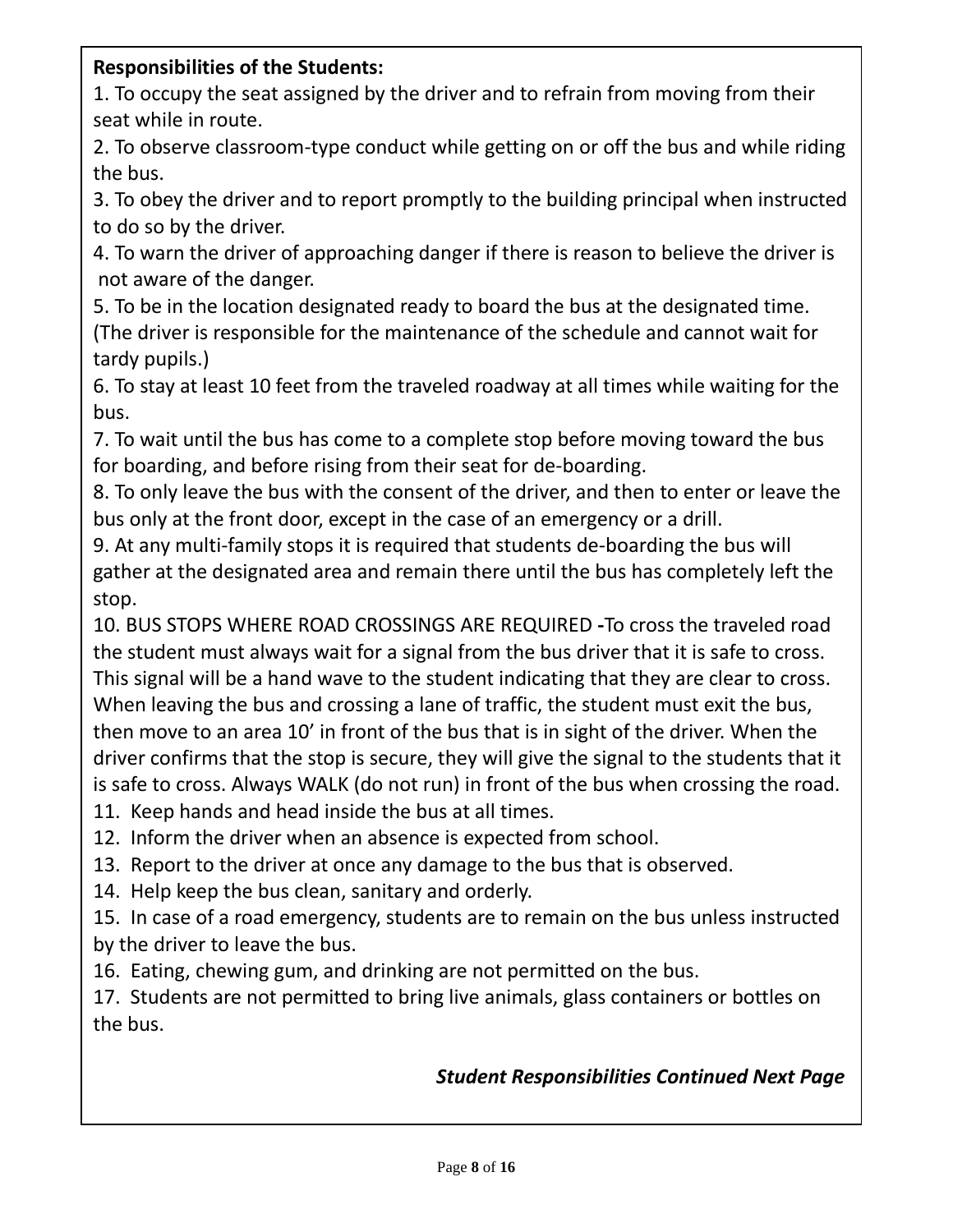#### **Responsibilities of the Students:**

1. To occupy the seat assigned by the driver and to refrain from moving from their seat while in route.

2. To observe classroom-type conduct while getting on or off the bus and while riding the bus.

3. To obey the driver and to report promptly to the building principal when instructed to do so by the driver.

4. To warn the driver of approaching danger if there is reason to believe the driver is not aware of the danger.

5. To be in the location designated ready to board the bus at the designated time. (The driver is responsible for the maintenance of the schedule and cannot wait for tardy pupils.)

6. To stay at least 10 feet from the traveled roadway at all times while waiting for the bus.

7. To wait until the bus has come to a complete stop before moving toward the bus for boarding, and before rising from their seat for de-boarding.

8. To only leave the bus with the consent of the driver, and then to enter or leave the bus only at the front door, except in the case of an emergency or a drill.

9. At any multi-family stops it is required that students de-boarding the bus will gather at the designated area and remain there until the bus has completely left the stop.

10. BUS STOPS WHERE ROAD CROSSINGS ARE REQUIRED **-**To cross the traveled road the student must always wait for a signal from the bus driver that it is safe to cross. This signal will be a hand wave to the student indicating that they are clear to cross. When leaving the bus and crossing a lane of traffic, the student must exit the bus, then move to an area 10' in front of the bus that is in sight of the driver. When the driver confirms that the stop is secure, they will give the signal to the students that it is safe to cross. Always WALK (do not run) in front of the bus when crossing the road.

11. Keep hands and head inside the bus at all times.

12. Inform the driver when an absence is expected from school.

13. Report to the driver at once any damage to the bus that is observed.

14. Help keep the bus clean, sanitary and orderly.

15. In case of a road emergency, students are to remain on the bus unless instructed by the driver to leave the bus.

16. Eating, chewing gum, and drinking are not permitted on the bus.

17. Students are not permitted to bring live animals, glass containers or bottles on the bus.

#### *Student Responsibilities Continued Next Page*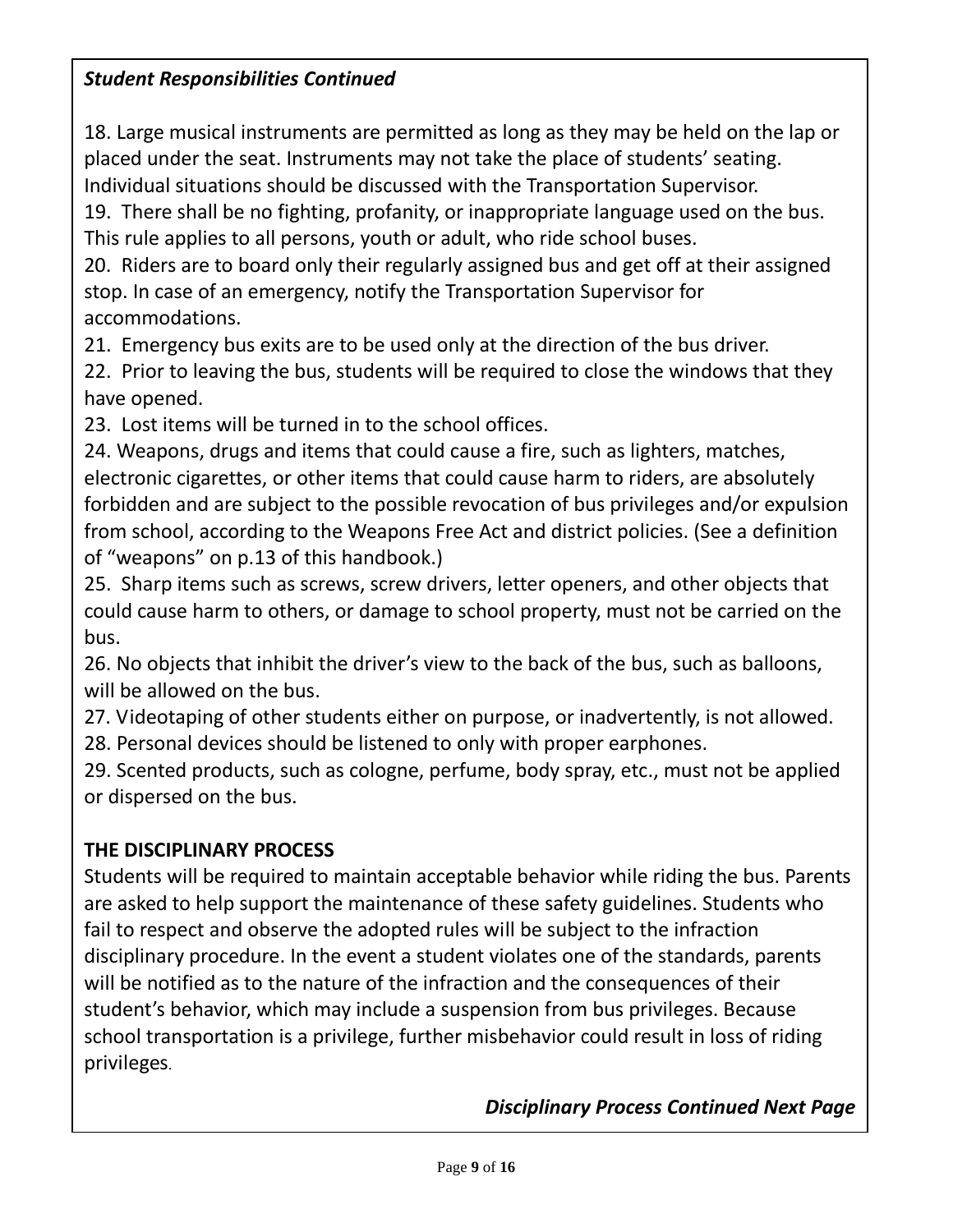#### *Student Responsibilities Continued*

18. Large musical instruments are permitted as long as they may be held on the lap or placed under the seat. Instruments may not take the place of students' seating. Individual situations should be discussed with the Transportation Supervisor.

19. There shall be no fighting, profanity, or inappropriate language used on the bus. This rule applies to all persons, youth or adult, who ride school buses.

20. Riders are to board only their regularly assigned bus and get off at their assigned stop. In case of an emergency, notify the Transportation Supervisor for accommodations.

21. Emergency bus exits are to be used only at the direction of the bus driver.

22. Prior to leaving the bus, students will be required to close the windows that they have opened.

23. Lost items will be turned in to the school offices.

24. Weapons, drugs and items that could cause a fire, such as lighters, matches, electronic cigarettes, or other items that could cause harm to riders, are absolutely forbidden and are subject to the possible revocation of bus privileges and/or expulsion from school, according to the Weapons Free Act and district policies. (See a definition of "weapons" on p.13 of this handbook.)

25. Sharp items such as screws, screw drivers, letter openers, and other objects that could cause harm to others, or damage to school property, must not be carried on the bus.

26. No objects that inhibit the driver's view to the back of the bus, such as balloons, will be allowed on the bus.

27. Videotaping of other students either on purpose, or inadvertently, is not allowed. 28. Personal devices should be listened to only with proper earphones.

29. Scented products, such as cologne, perfume, body spray, etc., must not be applied or dispersed on the bus.

#### **THE DISCIPLINARY PROCESS**

Students will be required to maintain acceptable behavior while riding the bus. Parents are asked to help support the maintenance of these safety guidelines. Students who fail to respect and observe the adopted rules will be subject to the infraction disciplinary procedure. In the event a student violates one of the standards, parents will be notified as to the nature of the infraction and the consequences of their student's behavior, which may include a suspension from bus privileges. Because school transportation is a privilege, further misbehavior could result in loss of riding privileges.

*Disciplinary Process Continued Next Page*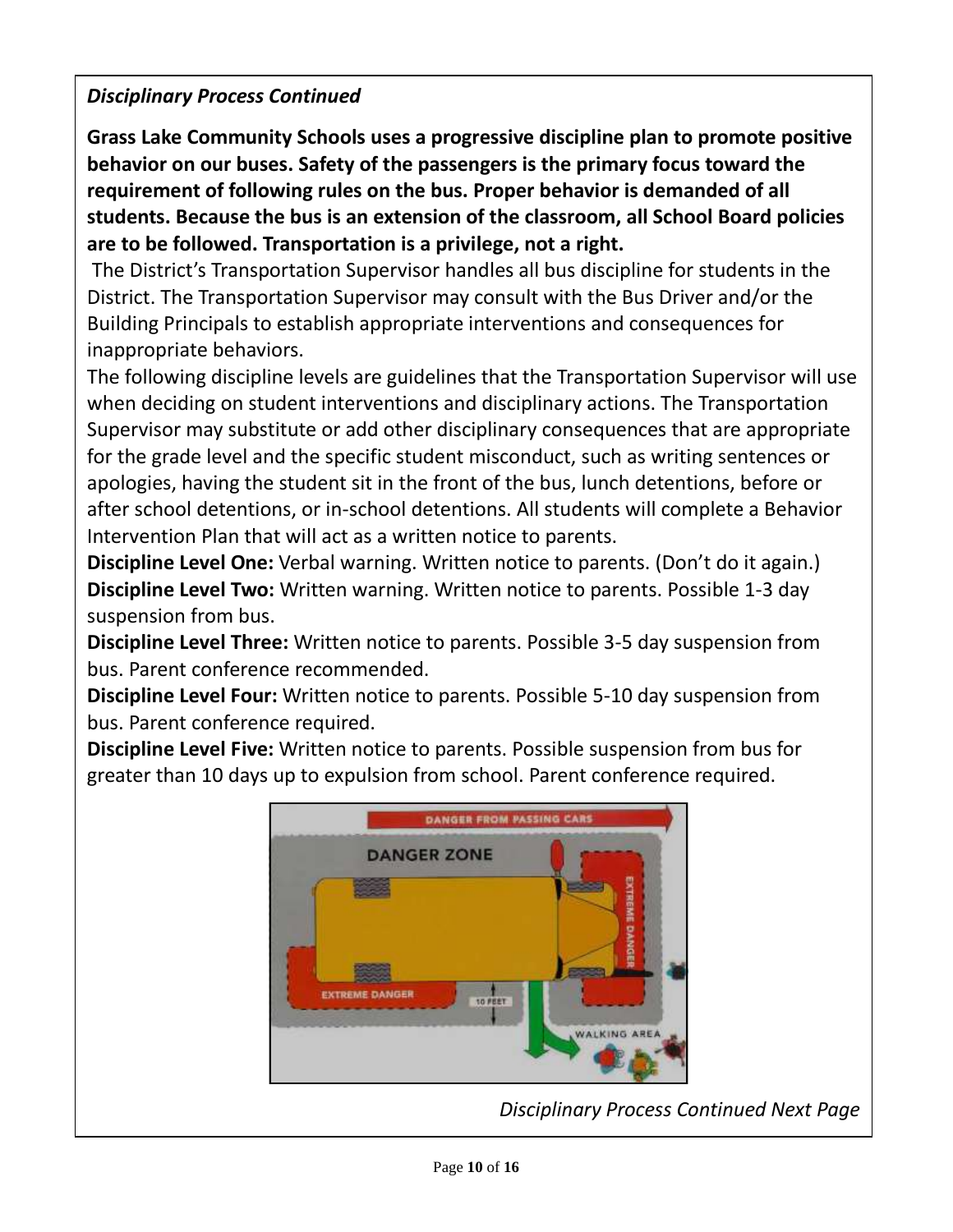#### *Disciplinary Process Continued*

**Grass Lake Community Schools uses a progressive discipline plan to promote positive behavior on our buses. Safety of the passengers is the primary focus toward the requirement of following rules on the bus. Proper behavior is demanded of all students. Because the bus is an extension of the classroom, all School Board policies are to be followed. Transportation is a privilege, not a right.**

The District's Transportation Supervisor handles all bus discipline for students in the District. The Transportation Supervisor may consult with the Bus Driver and/or the Building Principals to establish appropriate interventions and consequences for inappropriate behaviors.

The following discipline levels are guidelines that the Transportation Supervisor will use when deciding on student interventions and disciplinary actions. The Transportation Supervisor may substitute or add other disciplinary consequences that are appropriate for the grade level and the specific student misconduct, such as writing sentences or apologies, having the student sit in the front of the bus, lunch detentions, before or after school detentions, or in-school detentions. All students will complete a Behavior Intervention Plan that will act as a written notice to parents.

**Discipline Level One:** Verbal warning. Written notice to parents. (Don't do it again.) **Discipline Level Two:** Written warning. Written notice to parents. Possible 1-3 day suspension from bus.

**Discipline Level Three:** Written notice to parents. Possible 3-5 day suspension from bus. Parent conference recommended.

**Discipline Level Four:** Written notice to parents. Possible 5-10 day suspension from bus. Parent conference required.

**Discipline Level Five:** Written notice to parents. Possible suspension from bus for greater than 10 days up to expulsion from school. Parent conference required.



*Disciplinary Process Continued Next Page*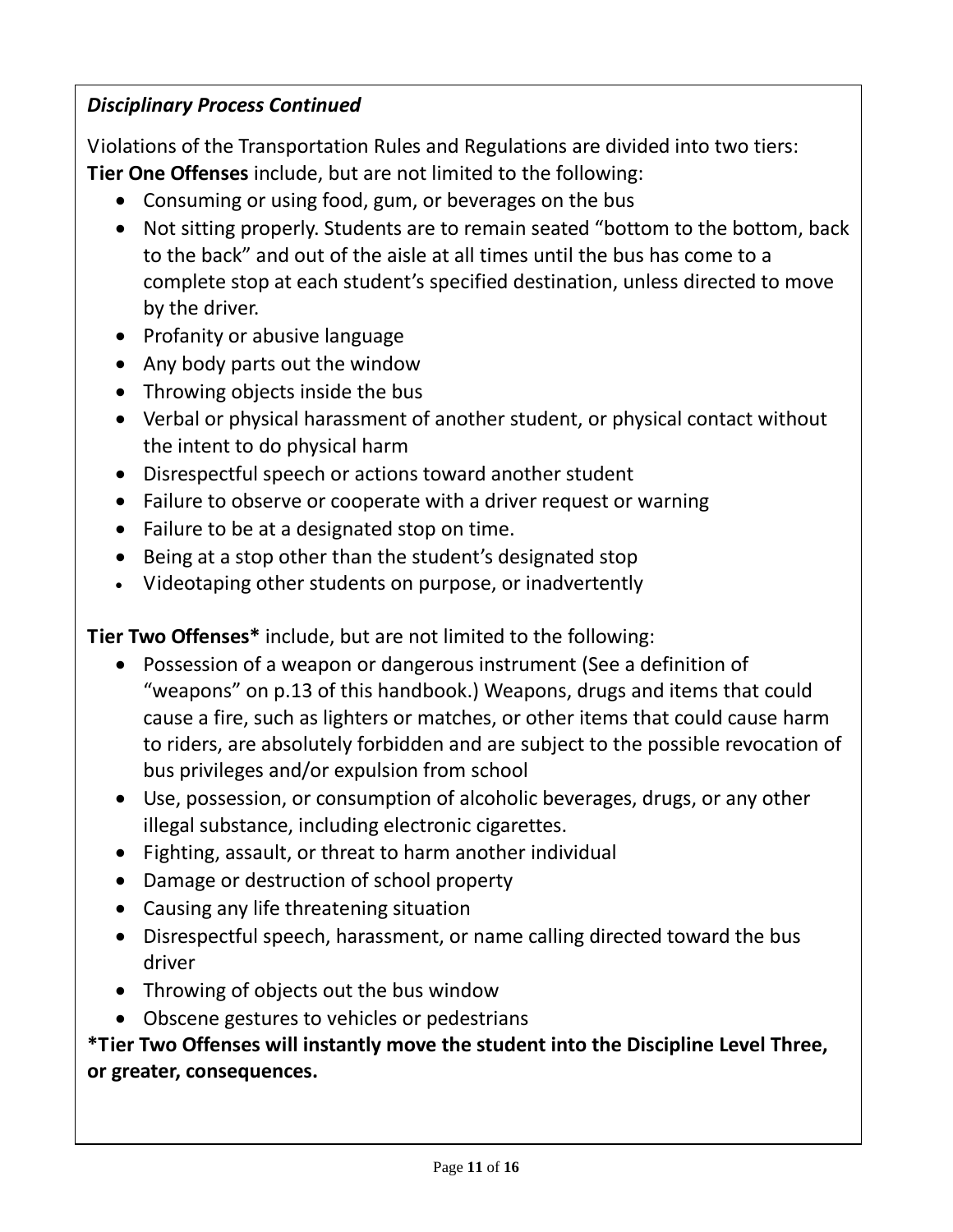#### *Disciplinary Process Continued*

Violations of the Transportation Rules and Regulations are divided into two tiers: **Tier One Offenses** include, but are not limited to the following:

- Consuming or using food, gum, or beverages on the bus
- Not sitting properly. Students are to remain seated "bottom to the bottom, back to the back" and out of the aisle at all times until the bus has come to a complete stop at each student's specified destination, unless directed to move by the driver.
- Profanity or abusive language
- Any body parts out the window
- Throwing objects inside the bus
- Verbal or physical harassment of another student, or physical contact without the intent to do physical harm
- Disrespectful speech or actions toward another student
- Failure to observe or cooperate with a driver request or warning
- Failure to be at a designated stop on time.
- Being at a stop other than the student's designated stop
- Videotaping other students on purpose, or inadvertently

**Tier Two Offenses\*** include, but are not limited to the following:

- Possession of a weapon or dangerous instrument (See a definition of "weapons" on p.13 of this handbook.) Weapons, drugs and items that could cause a fire, such as lighters or matches, or other items that could cause harm to riders, are absolutely forbidden and are subject to the possible revocation of bus privileges and/or expulsion from school
- Use, possession, or consumption of alcoholic beverages, drugs, or any other illegal substance, including electronic cigarettes.
- Fighting, assault, or threat to harm another individual
- Damage or destruction of school property
- Causing any life threatening situation
- Disrespectful speech, harassment, or name calling directed toward the bus driver
- Throwing of objects out the bus window
- Obscene gestures to vehicles or pedestrians

#### **\*Tier Two Offenses will instantly move the student into the Discipline Level Three, or greater, consequences.**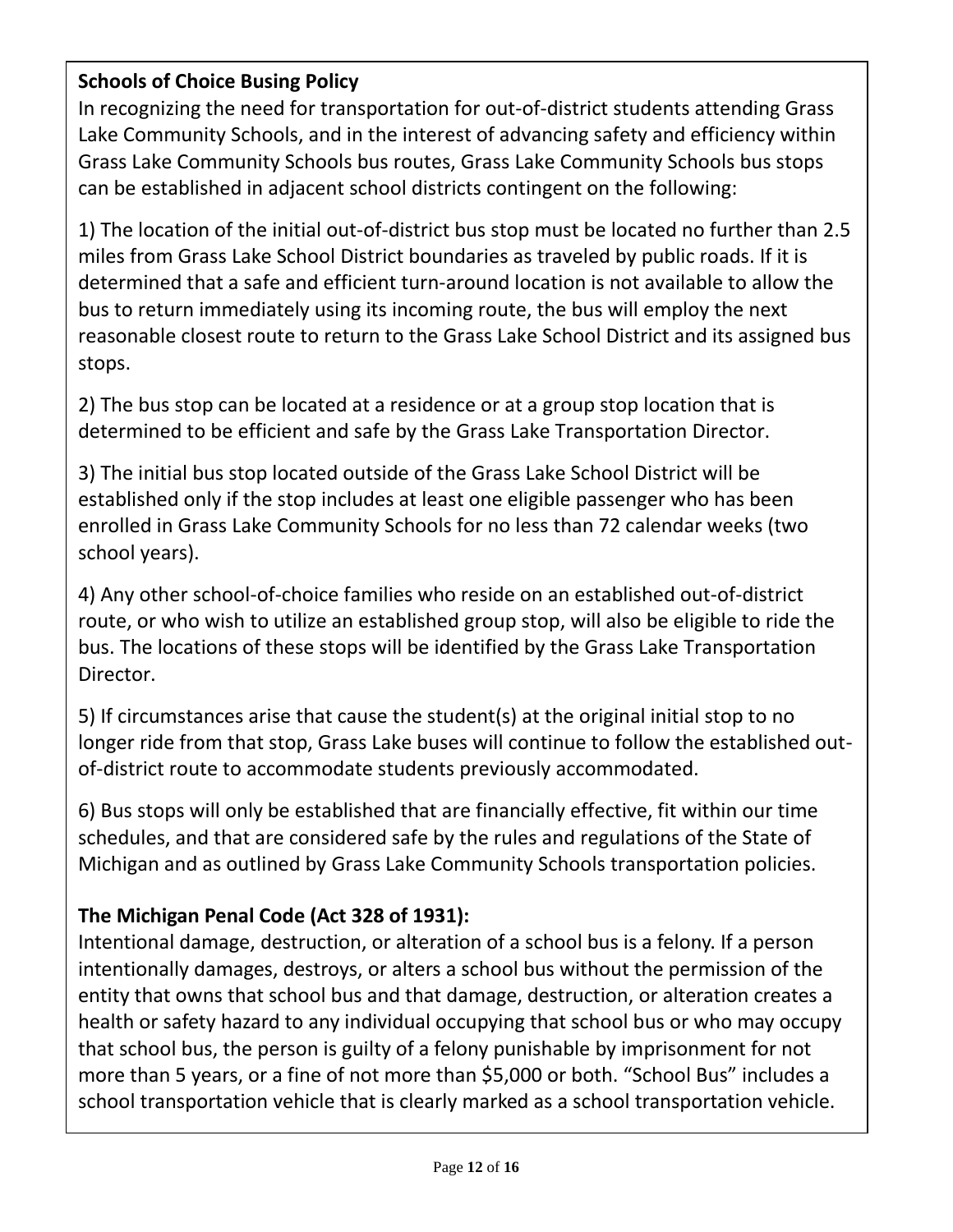#### **Schools of Choice Busing Policy**

In recognizing the need for transportation for out-of-district students attending Grass Lake Community Schools, and in the interest of advancing safety and efficiency within Grass Lake Community Schools bus routes, Grass Lake Community Schools bus stops can be established in adjacent school districts contingent on the following:

1) The location of the initial out-of-district bus stop must be located no further than 2.5 miles from Grass Lake School District boundaries as traveled by public roads. If it is determined that a safe and efficient turn-around location is not available to allow the bus to return immediately using its incoming route, the bus will employ the next reasonable closest route to return to the Grass Lake School District and its assigned bus stops.

2) The bus stop can be located at a residence or at a group stop location that is determined to be efficient and safe by the Grass Lake Transportation Director.

3) The initial bus stop located outside of the Grass Lake School District will be established only if the stop includes at least one eligible passenger who has been enrolled in Grass Lake Community Schools for no less than 72 calendar weeks (two school years).

4) Any other school-of-choice families who reside on an established out-of-district route, or who wish to utilize an established group stop, will also be eligible to ride the bus. The locations of these stops will be identified by the Grass Lake Transportation Director.

5) If circumstances arise that cause the student(s) at the original initial stop to no longer ride from that stop, Grass Lake buses will continue to follow the established outof-district route to accommodate students previously accommodated.

6) Bus stops will only be established that are financially effective, fit within our time schedules, and that are considered safe by the rules and regulations of the State of Michigan and as outlined by Grass Lake Community Schools transportation policies.

#### **The Michigan Penal Code (Act 328 of 1931):**

Intentional damage, destruction, or alteration of a school bus is a felony. If a person intentionally damages, destroys, or alters a school bus without the permission of the entity that owns that school bus and that damage, destruction, or alteration creates a health or safety hazard to any individual occupying that school bus or who may occupy that school bus, the person is guilty of a felony punishable by imprisonment for not more than 5 years, or a fine of not more than \$5,000 or both. "School Bus" includes a school transportation vehicle that is clearly marked as a school transportation vehicle.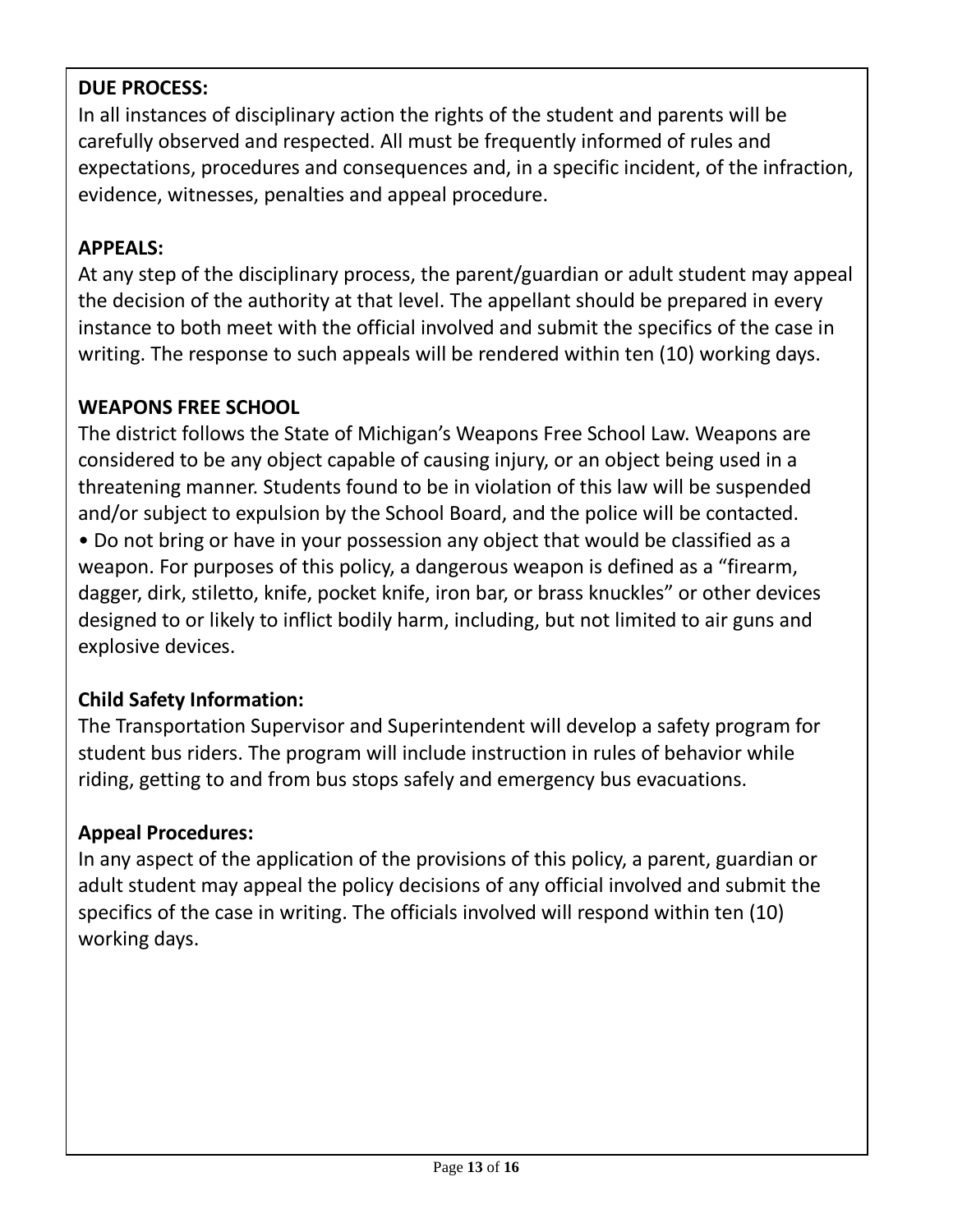#### **DUE PROCESS:**

In all instances of disciplinary action the rights of the student and parents will be carefully observed and respected. All must be frequently informed of rules and expectations, procedures and consequences and, in a specific incident, of the infraction, evidence, witnesses, penalties and appeal procedure.

#### **APPEALS:**

At any step of the disciplinary process, the parent/guardian or adult student may appeal the decision of the authority at that level. The appellant should be prepared in every instance to both meet with the official involved and submit the specifics of the case in writing. The response to such appeals will be rendered within ten (10) working days.

#### **WEAPONS FREE SCHOOL**

The district follows the State of Michigan's Weapons Free School Law. Weapons are considered to be any object capable of causing injury, or an object being used in a threatening manner. Students found to be in violation of this law will be suspended and/or subject to expulsion by the School Board, and the police will be contacted. • Do not bring or have in your possession any object that would be classified as a weapon. For purposes of this policy, a dangerous weapon is defined as a "firearm, dagger, dirk, stiletto, knife, pocket knife, iron bar, or brass knuckles" or other devices designed to or likely to inflict bodily harm, including, but not limited to air guns and explosive devices.

#### **Child Safety Information:**

The Transportation Supervisor and Superintendent will develop a safety program for student bus riders. The program will include instruction in rules of behavior while riding, getting to and from bus stops safely and emergency bus evacuations.

#### **Appeal Procedures:**

In any aspect of the application of the provisions of this policy, a parent, guardian or adult student may appeal the policy decisions of any official involved and submit the specifics of the case in writing. The officials involved will respond within ten (10) working days.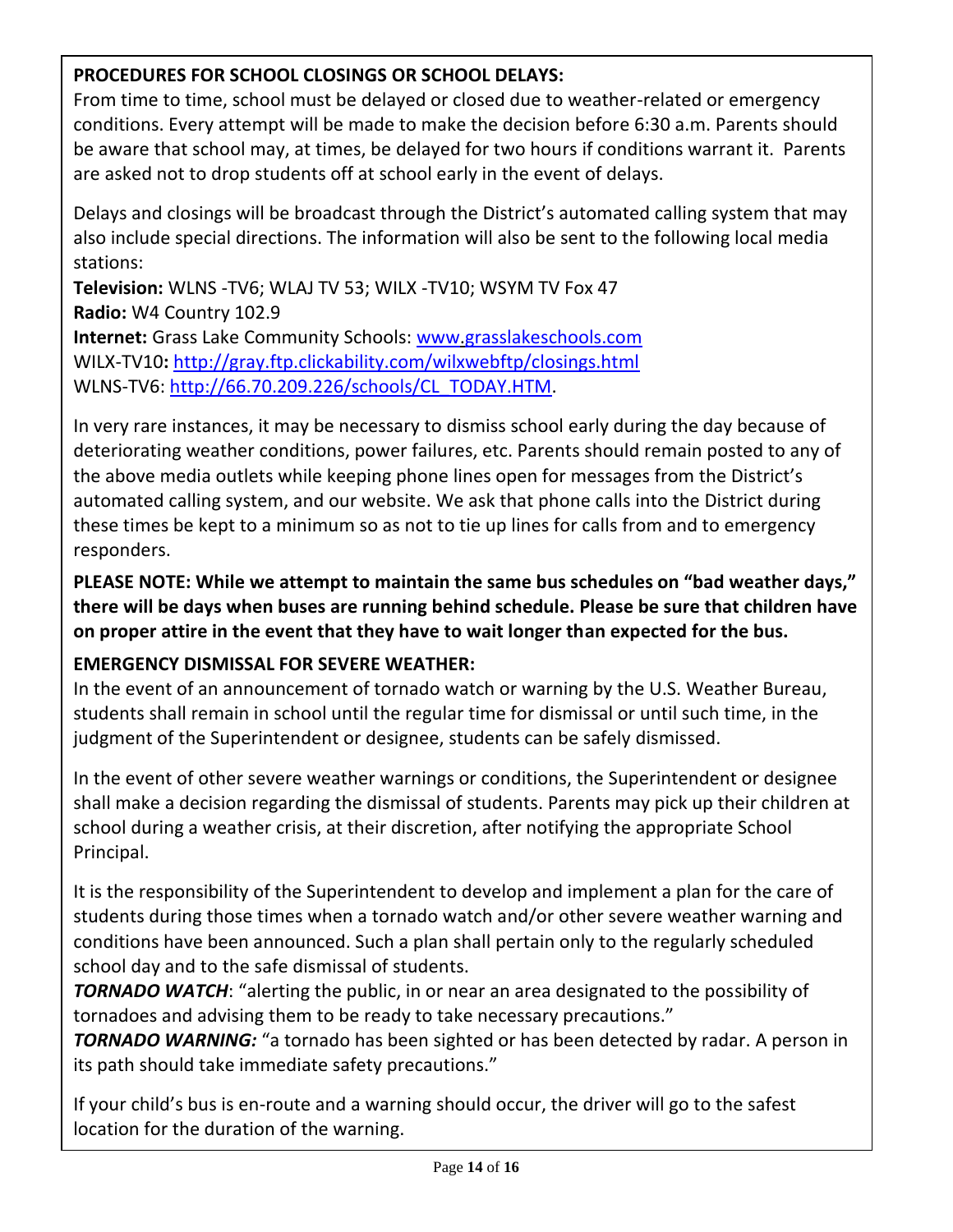#### **PROCEDURES FOR SCHOOL CLOSINGS OR SCHOOL DELAYS:**

From time to time, school must be delayed or closed due to weather-related or emergency conditions. Every attempt will be made to make the decision before 6:30 a.m. Parents should be aware that school may, at times, be delayed for two hours if conditions warrant it. Parents are asked not to drop students off at school early in the event of delays.

Delays and closings will be broadcast through the District's automated calling system that may also include special directions. The information will also be sent to the following local media stations:

**Television:** WLNS -TV6; WLAJ TV 53; WILX -TV10; WSYM TV Fox 47 **Radio:** W4 Country 102.9 **Internet:** Grass Lake Community Schools: [www.](http://www.grasslakeschools.com/)[grasslakeschools.com](http://grasslakeschools.com/) WILX-TV10**:** <http://gray.ftp.clickability.com/wilxwebftp/closings.html> WLNS-TV6: [http://66.70.209.226/schools/CL\\_TODAY.HTM.](http://66.70.209.226/schools/CL_TODAY.HTM)

In very rare instances, it may be necessary to dismiss school early during the day because of deteriorating weather conditions, power failures, etc. Parents should remain posted to any of the above media outlets while keeping phone lines open for messages from the District's automated calling system, and our website. We ask that phone calls into the District during these times be kept to a minimum so as not to tie up lines for calls from and to emergency responders.

**PLEASE NOTE: While we attempt to maintain the same bus schedules on "bad weather days," there will be days when buses are running behind schedule. Please be sure that children have on proper attire in the event that they have to wait longer than expected for the bus.**

#### **EMERGENCY DISMISSAL FOR SEVERE WEATHER:**

In the event of an announcement of tornado watch or warning by the U.S. Weather Bureau, students shall remain in school until the regular time for dismissal or until such time, in the judgment of the Superintendent or designee, students can be safely dismissed.

In the event of other severe weather warnings or conditions, the Superintendent or designee shall make a decision regarding the dismissal of students. Parents may pick up their children at school during a weather crisis, at their discretion, after notifying the appropriate School Principal.

It is the responsibility of the Superintendent to develop and implement a plan for the care of students during those times when a tornado watch and/or other severe weather warning and conditions have been announced. Such a plan shall pertain only to the regularly scheduled school day and to the safe dismissal of students.

*TORNADO WATCH*: "alerting the public, in or near an area designated to the possibility of tornadoes and advising them to be ready to take necessary precautions."

**TORNADO WARNING:** "a tornado has been sighted or has been detected by radar. A person in its path should take immediate safety precautions."

If your child's bus is en-route and a warning should occur, the driver will go to the safest location for the duration of the warning.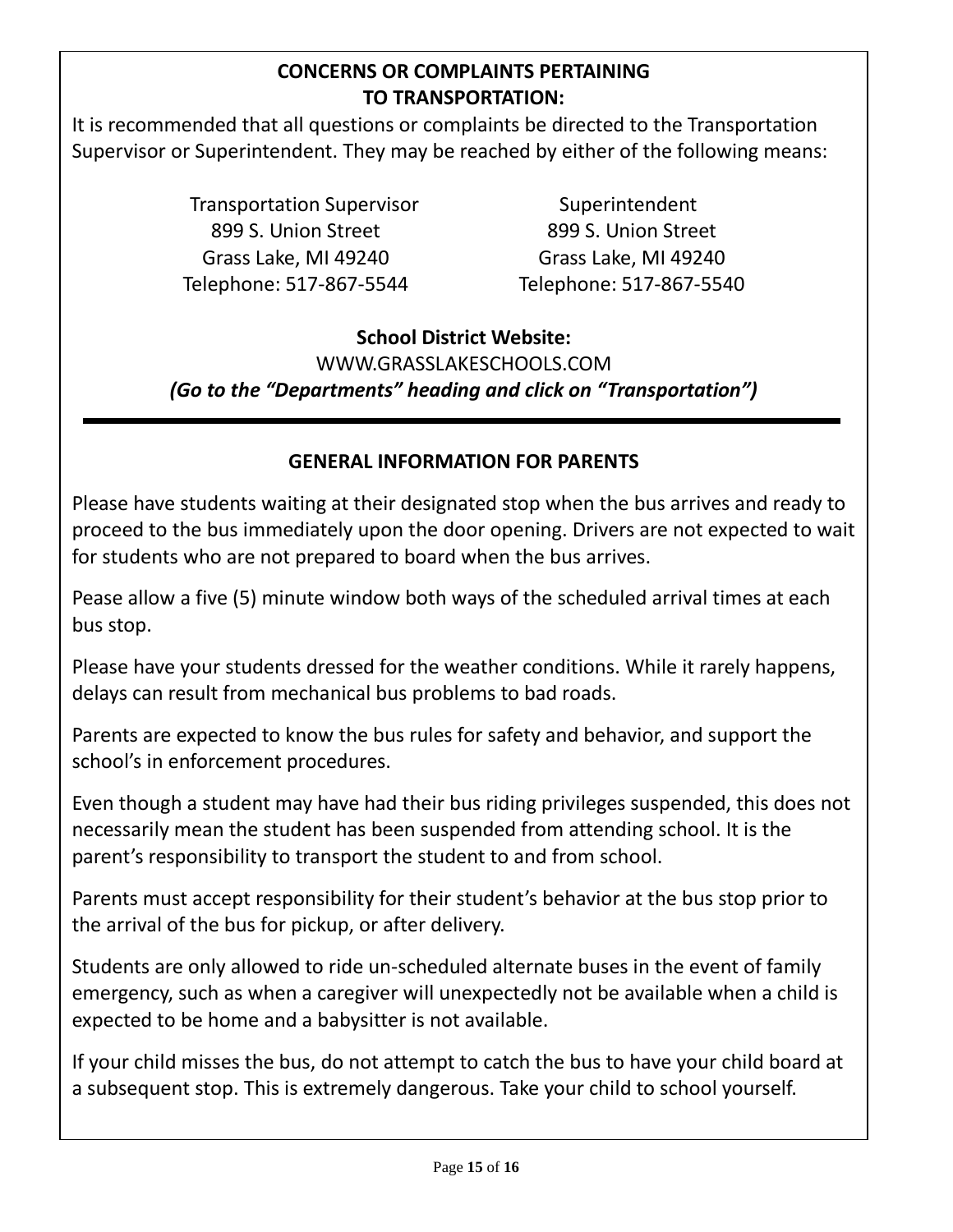#### **CONCERNS OR COMPLAINTS PERTAINING TO TRANSPORTATION:**

It is recommended that all questions or complaints be directed to the Transportation Supervisor or Superintendent. They may be reached by either of the following means:

> Transportation Supervisor **Superintendent** 899 S. Union Street 899 S. Union Street Grass Lake, MI 49240 Grass Lake, MI 49240 Telephone: 517-867-5544 Telephone: 517-867-5540

#### **School District Website:** WWW.GRASSLAKESCHOOLS.COM *(Go to the "Departments" heading and click on "Transportation")*

#### **GENERAL INFORMATION FOR PARENTS**

Please have students waiting at their designated stop when the bus arrives and ready to proceed to the bus immediately upon the door opening. Drivers are not expected to wait for students who are not prepared to board when the bus arrives.

Pease allow a five (5) minute window both ways of the scheduled arrival times at each bus stop.

Please have your students dressed for the weather conditions. While it rarely happens, delays can result from mechanical bus problems to bad roads.

Parents are expected to know the bus rules for safety and behavior, and support the school's in enforcement procedures.

Even though a student may have had their bus riding privileges suspended, this does not necessarily mean the student has been suspended from attending school. It is the parent's responsibility to transport the student to and from school.

Parents must accept responsibility for their student's behavior at the bus stop prior to the arrival of the bus for pickup, or after delivery.

Students are only allowed to ride un-scheduled alternate buses in the event of family emergency, such as when a caregiver will unexpectedly not be available when a child is expected to be home and a babysitter is not available.

If your child misses the bus, do not attempt to catch the bus to have your child board at a subsequent stop. This is extremely dangerous. Take your child to school yourself.